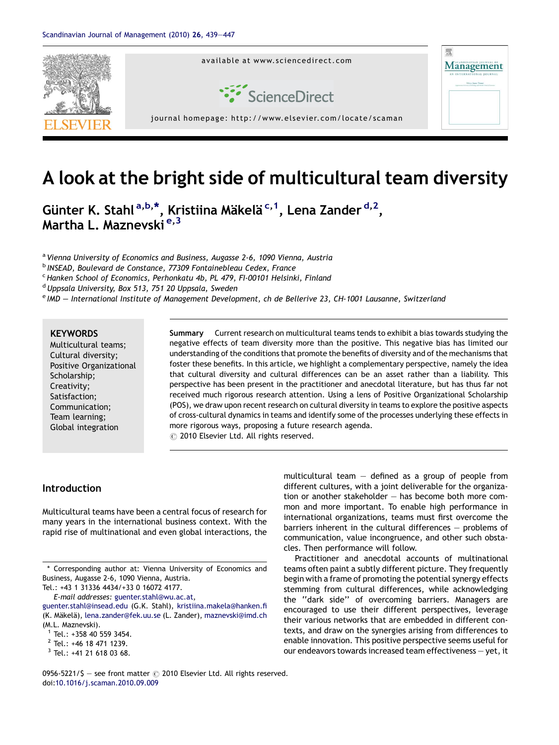

# A look at the bright side of multicultural team diversity

Günter K. Stahl<sup>a,b,\*</sup>, Kristiina Mäkelä <sup>c, 1</sup>, Lena Zander <sup>d, 2</sup>, Martha L. Maznevski<sup>e, 3</sup>

a Vienna University of Economics and Business, Augasse 2-6, 1090 Vienna, Austria <sup>b</sup> INSEAD, Boulevard de Constance, 77309 Fontainebleau Cedex, France  $c$  Hanken School of Economics, Perhonkatu 4b, PL 479, FI-00101 Helsinki, Finland

<sup>d</sup> Uppsala University, Box 513, 751 20 Uppsala, Sweden

<sup>e</sup> IMD — International Institute of Management Development, ch de Bellerive 23, CH-1001 Lausanne, Switzerland

#### **KEYWORDS**

Multicultural teams; Cultural diversity; Positive Organizational Scholarship; Creativity; Satisfaction; Communication; Team learning; Global integration

Summary Current research on multicultural teams tends to exhibit a bias towards studying the negative effects of team diversity more than the positive. This negative bias has limited our understanding of the conditions that promote the benefits of diversity and of the mechanisms that foster these benefits. In this article, we highlight a complementary perspective, namely the idea that cultural diversity and cultural differences can be an asset rather than a liability. This perspective has been present in the practitioner and anecdotal literature, but has thus far not received much rigorous research attention. Using a lens of Positive Organizational Scholarship (POS), we draw upon recent research on cultural diversity in teams to explore the positive aspects of cross-cultural dynamics in teams and identify some of the processes underlying these effects in more rigorous ways, proposing a future research agenda.  $\odot$  2010 Elsevier Ltd. All rights reserved.

#### Introduction

Multicultural teams have been a central focus of research for many years in the international business context. With the rapid rise of multinational and even global interactions, the multicultural team  $-$  defined as a group of people from different cultures, with a joint deliverable for the organization or another stakeholder — has become both more common and more important. To enable high performance in international organizations, teams must first overcome the barriers inherent in the cultural differences — problems of communication, value incongruence, and other such obstacles. Then performance will follow.

Practitioner and anecdotal accounts of multinational teams often paint a subtly different picture. They frequently begin with a frame of promoting the potential synergy effects stemming from cultural differences, while acknowledging the ''dark side'' of overcoming barriers. Managers are encouraged to use their different perspectives, leverage their various networks that are embedded in different contexts, and draw on the synergies arising from differences to enable innovation. This positive perspective seems useful for our endeavors towards increased team effectiveness — yet, it

0956-5221/\$ - see front matter  $\odot$  2010 Elsevier Ltd. All rights reserved. doi[:10.1016/j.scaman.2010.09.009](http://dx.doi.org/10.1016/j.scaman.2010.09.009)

<sup>\*</sup> Corresponding author at: Vienna University of Economics and Business, Augasse 2-6, 1090 Vienna, Austria.

Tel.: +43 1 31336 4434/+33 0 16072 4177.

E-mail addresses: [guenter.stahl@wu.ac.at,](mailto:guenter.stahl@wu.ac.at)

[guenter.stahl@insead.edu](mailto:guenter.stahl@insead.edu) (G.K. Stahl), [kristiina.makela@hanken.fi](mailto:kristiina.makela@hanken.fi) (K. Mäkelä), [lena.zander@fek.uu.se](mailto:lena.zander@fek.uu.se) (L. Zander), [maznevski@imd.ch](mailto:maznevski@imd.ch) (M.L. Maznevski).

 $1$  Tel.: +358 40 559 3454.

<sup>2</sup> Tel.: +46 18 471 1239.

<sup>3</sup> Tel.: +41 21 618 03 68.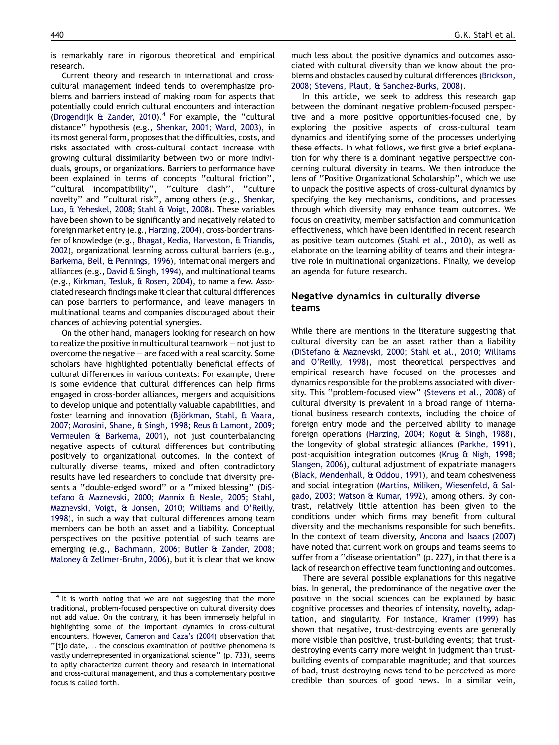is remarkably rare in rigorous theoretical and empirical research.

Current theory and research in international and crosscultural management indeed tends to overemphasize problems and barriers instead of making room for aspects that potentially could enrich cultural encounters and interaction [\(Drogendijk & Zander, 2010\)](#page--1-0).<sup>4</sup> For example, the "cultural distance'' hypothesis (e.g., [Shenkar, 2001; Ward, 2003](#page--1-0)), in its most general form, proposes that the difficulties, costs, and risks associated with cross-cultural contact increase with growing cultural dissimilarity between two or more individuals, groups, or organizations. Barriers to performance have been explained in terms of concepts ''cultural friction'', ''cultural incompatibility'', ''culture clash'', ''culture novelty'' and ''cultural risk'', among others (e.g., [Shenkar,](#page--1-0) [Luo, & Yeheskel, 2008; Stahl & Voigt, 2008\)](#page--1-0). These variables have been shown to be significantly and negatively related to foreign market entry (e.g., [Harzing, 2004\)](#page--1-0), cross-border transfer of knowledge (e.g., [Bhagat, Kedia, Harveston, & Triandis,](#page--1-0) [2002](#page--1-0)), organizational learning across cultural barriers (e.g., [Barkema, Bell, & Pennings, 1996\)](#page--1-0), international mergers and alliances (e.g., [David & Singh, 1994\)](#page--1-0), and multinational teams (e.g., [Kirkman, Tesluk, & Rosen, 2004\)](#page--1-0), to name a few. Associated research findings make it clear that cultural differences can pose barriers to performance, and leave managers in multinational teams and companies discouraged about their chances of achieving potential synergies.

On the other hand, managers looking for research on how to realize the positive in multicultural teamwork — not just to overcome the negative — are faced with a real scarcity. Some scholars have highlighted potentially beneficial effects of cultural differences in various contexts: For example, there is some evidence that cultural differences can help firms engaged in cross-border alliances, mergers and acquisitions to develop unique and potentially valuable capabilities, and foster learning and innovation (Björkman, Stahl, & Vaara, [2007; Morosini, Shane, & Singh, 1998; Reus & Lamont, 2009;](#page--1-0) [Vermeulen & Barkema, 2001\)](#page--1-0), not just counterbalancing negative aspects of cultural differences but contributing positively to organizational outcomes. In the context of culturally diverse teams, mixed and often contradictory results have led researchers to conclude that diversity presents a ''double-edged sword'' or a ''mixed blessing'' [\(DiS](#page--1-0)[tefano & Maznevski, 2000; Mannix & Neale, 2005; Stahl,](#page--1-0) [Maznevski, Voigt, & Jonsen, 2010; Williams and O'Reilly,](#page--1-0) [1998](#page--1-0)), in such a way that cultural differences among team members can be both an asset and a liability. Conceptual perspectives on the positive potential of such teams are emerging (e.g., [Bachmann, 2006; Butler & Zander, 2008;](#page--1-0) [Maloney & Zellmer-Bruhn, 2006\)](#page--1-0), but it is clear that we know much less about the positive dynamics and outcomes associated with cultural diversity than we know about the problems and obstacles caused by cultural differences ([Brickson,](#page--1-0) [2008; Stevens, Plaut, & Sanchez-Burks, 2008](#page--1-0)).

In this article, we seek to address this research gap between the dominant negative problem-focused perspective and a more positive opportunities-focused one, by exploring the positive aspects of cross-cultural team dynamics and identifying some of the processes underlying these effects. In what follows, we first give a brief explanation for why there is a dominant negative perspective concerning cultural diversity in teams. We then introduce the lens of ''Positive Organizational Scholarship'', which we use to unpack the positive aspects of cross-cultural dynamics by specifying the key mechanisms, conditions, and processes through which diversity may enhance team outcomes. We focus on creativity, member satisfaction and communication effectiveness, which have been identified in recent research as positive team outcomes ([Stahl et al., 2010\)](#page--1-0), as well as elaborate on the learning ability of teams and their integrative role in multinational organizations. Finally, we develop an agenda for future research.

### Negative dynamics in culturally diverse teams

While there are mentions in the literature suggesting that cultural diversity can be an asset rather than a liability ([DiStefano & Maznevski, 2000; Stahl et al., 2010; Williams](#page--1-0) [and O'Reilly, 1998](#page--1-0)), most theoretical perspectives and empirical research have focused on the processes and dynamics responsible for the problems associated with diversity. This ''problem-focused view'' [\(Stevens et al., 2008\)](#page--1-0) of cultural diversity is prevalent in a broad range of international business research contexts, including the choice of foreign entry mode and the perceived ability to manage foreign operations [\(Harzing, 2004; Kogut & Singh, 1988](#page--1-0)), the longevity of global strategic alliances [\(Parkhe, 1991](#page--1-0)), post-acquisition integration outcomes [\(Krug & Nigh, 1998;](#page--1-0) [Slangen, 2006](#page--1-0)), cultural adjustment of expatriate managers ([Black, Mendenhall, & Oddou, 1991](#page--1-0)), and team cohesiveness and social integration ([Martins, Miliken, Wiesenfeld, & Sal](#page--1-0)[gado, 2003; Watson & Kumar, 1992](#page--1-0)), among others. By contrast, relatively little attention has been given to the conditions under which firms may benefit from cultural diversity and the mechanisms responsible for such benefits. In the context of team diversity, [Ancona and Isaacs \(2007\)](#page--1-0) have noted that current work on groups and teams seems to suffer from a ''disease orientation'' (p. 227), in that there is a lack of research on effective team functioning and outcomes.

There are several possible explanations for this negative bias. In general, the predominance of the negative over the positive in the social sciences can be explained by basic cognitive processes and theories of intensity, novelty, adaptation, and singularity. For instance, [Kramer \(1999\)](#page--1-0) has shown that negative, trust-destroying events are generally more visible than positive, trust-building events; that trustdestroying events carry more weight in judgment than trustbuilding events of comparable magnitude; and that sources of bad, trust-destroying news tend to be perceived as more credible than sources of good news. In a similar vein,

 $4$  It is worth noting that we are not suggesting that the more traditional, problem-focused perspective on cultural diversity does not add value. On the contrary, it has been immensely helpful in highlighting some of the important dynamics in cross-cultural encounters. However, [Cameron and Caza's \(2004\)](#page--1-0) observation that ''[t]o date,... the conscious examination of positive phenomena is vastly underrepresented in organizational science'' (p. 733), seems to aptly characterize current theory and research in international and cross-cultural management, and thus a complementary positive focus is called forth.